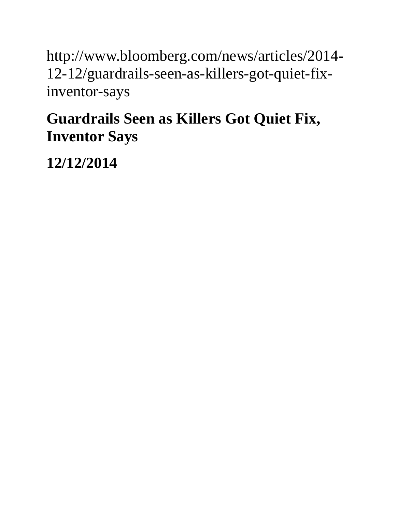http://www.bloomberg.com/news/articles/2014- 12-12/guardrails-seen-as-killers-got-quiet-fixinventor-says

# **Guardrails Seen as Killers Got Quiet Fix, Inventor Says**

**12/12/2014**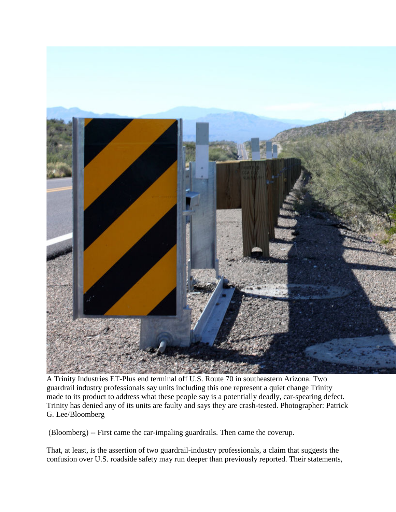

A Trinity Industries ET-Plus end terminal off U.S. Route 70 in southeastern Arizona. Two guardrail industry professionals say units including this one represent a quiet change Trinity made to its product to address what these people say is a potentially deadly, car-spearing defect. Trinity has denied any of its units are faulty and says they are crash-tested. Photographer: Patrick G. Lee/Bloomberg

(Bloomberg) -- First came the car-impaling guardrails. Then came the coverup.

That, at least, is the assertion of two guardrail-industry professionals, a claim that suggests the confusion over U.S. roadside safety may run deeper than previously reported. Their statements,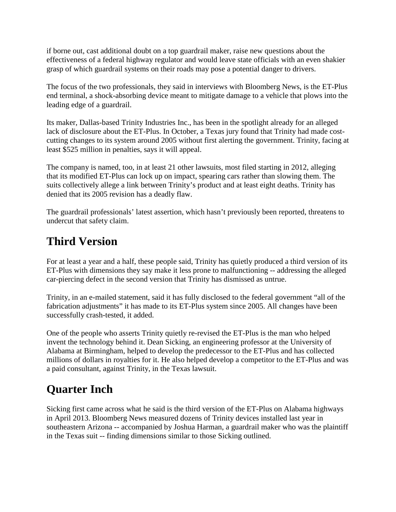if borne out, cast additional doubt on a top guardrail maker, raise new questions about the effectiveness of a federal highway regulator and would leave state officials with an even shakier grasp of which guardrail systems on their roads may pose a potential danger to drivers.

The focus of the two professionals, they said in interviews with Bloomberg News, is the ET-Plus end terminal, a shock-absorbing device meant to mitigate damage to a vehicle that plows into the leading edge of a guardrail.

Its maker, Dallas-based Trinity Industries Inc., has been in the spotlight already for an alleged lack of disclosure about the ET-Plus. In October, a Texas jury found that Trinity had made costcutting changes to its system around 2005 without first alerting the government. Trinity, facing at least \$525 million in penalties, says it will appeal.

The company is named, too, in at least 21 other lawsuits, most filed starting in 2012, alleging that its modified ET-Plus can lock up on impact, spearing cars rather than slowing them. The suits collectively allege a link between Trinity's product and at least eight deaths. Trinity has denied that its 2005 revision has a deadly flaw.

The guardrail professionals' latest assertion, which hasn't previously been reported, threatens to undercut that safety claim.

#### **Third Version**

For at least a year and a half, these people said, Trinity has quietly produced a third version of its ET-Plus with dimensions they say make it less prone to malfunctioning -- addressing the alleged car-piercing defect in the second version that Trinity has dismissed as untrue.

Trinity, in an e-mailed statement, said it has fully disclosed to the federal government "all of the fabrication adjustments" it has made to its ET-Plus system since 2005. All changes have been successfully crash-tested, it added.

One of the people who asserts Trinity quietly re-revised the ET-Plus is the man who helped invent the technology behind it. Dean Sicking, an engineering professor at the University of Alabama at Birmingham, helped to develop the predecessor to the ET-Plus and has collected millions of dollars in royalties for it. He also helped develop a competitor to the ET-Plus and was a paid consultant, against Trinity, in the Texas lawsuit.

## **Quarter Inch**

Sicking first came across what he said is the third version of the ET-Plus on Alabama highways in April 2013. Bloomberg News measured dozens of Trinity devices installed last year in southeastern Arizona -- accompanied by Joshua Harman, a guardrail maker who was the plaintiff in the Texas suit -- finding dimensions similar to those Sicking outlined.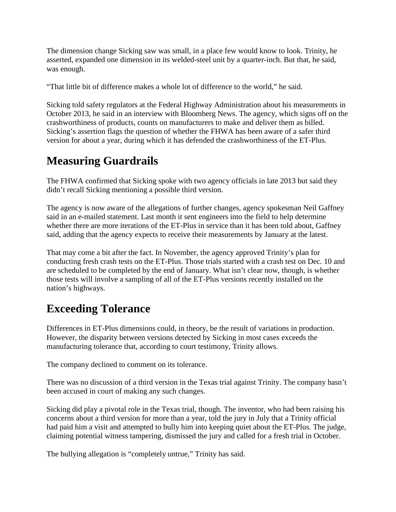The dimension change Sicking saw was small, in a place few would know to look. Trinity, he asserted, expanded one dimension in its welded-steel unit by a quarter-inch. But that, he said, was enough.

"That little bit of difference makes a whole lot of difference to the world," he said.

Sicking told safety regulators at the Federal Highway Administration about his measurements in October 2013, he said in an interview with Bloomberg News. The agency, which signs off on the crashworthiness of products, counts on manufacturers to make and deliver them as billed. Sicking's assertion flags the question of whether the FHWA has been aware of a safer third version for about a year, during which it has defended the crashworthiness of the ET-Plus.

#### **Measuring Guardrails**

The FHWA confirmed that Sicking spoke with two agency officials in late 2013 but said they didn't recall Sicking mentioning a possible third version.

The agency is now aware of the allegations of further changes, agency spokesman Neil Gaffney said in an e-mailed statement. Last month it sent engineers into the field to help determine whether there are more iterations of the ET-Plus in service than it has been told about, Gaffney said, adding that the agency expects to receive their measurements by January at the latest.

That may come a bit after the fact. In November, the agency approved Trinity's plan for conducting fresh crash tests on the ET-Plus. Those trials started with a crash test on Dec. 10 and are scheduled to be completed by the end of January. What isn't clear now, though, is whether those tests will involve a sampling of all of the ET-Plus versions recently installed on the nation's highways.

#### **Exceeding Tolerance**

Differences in ET-Plus dimensions could, in theory, be the result of variations in production. However, the disparity between versions detected by Sicking in most cases exceeds the manufacturing tolerance that, according to court testimony, Trinity allows.

The company declined to comment on its tolerance.

There was no discussion of a third version in the Texas trial against Trinity. The company hasn't been accused in court of making any such changes.

Sicking did play a pivotal role in the Texas trial, though. The inventor, who had been raising his concerns about a third version for more than a year, told the jury in July that a Trinity official had paid him a visit and attempted to bully him into keeping quiet about the ET-Plus. The judge, claiming potential witness tampering, dismissed the jury and called for a fresh trial in October.

The bullying allegation is "completely untrue," Trinity has said.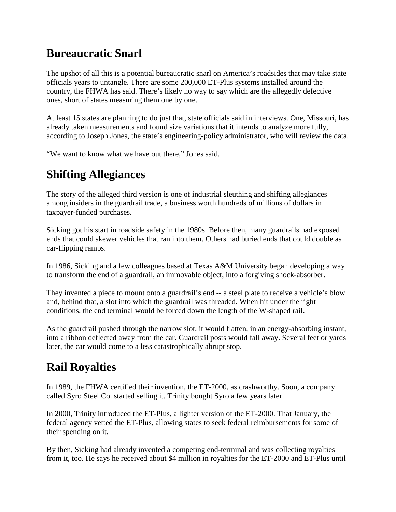#### **Bureaucratic Snarl**

The upshot of all this is a potential bureaucratic snarl on America's roadsides that may take state officials years to untangle. There are some 200,000 ET-Plus systems installed around the country, the FHWA has said. There's likely no way to say which are the allegedly defective ones, short of states measuring them one by one.

At least 15 states are planning to do just that, state officials said in interviews. One, Missouri, has already taken measurements and found size variations that it intends to analyze more fully, according to Joseph Jones, the state's engineering-policy administrator, who will review the data.

"We want to know what we have out there," Jones said.

# **Shifting Allegiances**

The story of the alleged third version is one of industrial sleuthing and shifting allegiances among insiders in the guardrail trade, a business worth hundreds of millions of dollars in taxpayer-funded purchases.

Sicking got his start in roadside safety in the 1980s. Before then, many guardrails had exposed ends that could skewer vehicles that ran into them. Others had buried ends that could double as car-flipping ramps.

In 1986, Sicking and a few colleagues based at Texas A&M University began developing a way to transform the end of a guardrail, an immovable object, into a forgiving shock-absorber.

They invented a piece to mount onto a guardrail's end -- a steel plate to receive a vehicle's blow and, behind that, a slot into which the guardrail was threaded. When hit under the right conditions, the end terminal would be forced down the length of the W-shaped rail.

As the guardrail pushed through the narrow slot, it would flatten, in an energy-absorbing instant, into a ribbon deflected away from the car. Guardrail posts would fall away. Several feet or yards later, the car would come to a less catastrophically abrupt stop.

## **Rail Royalties**

In 1989, the FHWA certified their invention, the ET-2000, as crashworthy. Soon, a company called Syro Steel Co. started selling it. Trinity bought Syro a few years later.

In 2000, Trinity introduced the ET-Plus, a lighter version of the ET-2000. That January, the federal agency vetted the ET-Plus, allowing states to seek federal reimbursements for some of their spending on it.

By then, Sicking had already invented a competing end-terminal and was collecting royalties from it, too. He says he received about \$4 million in royalties for the ET-2000 and ET-Plus until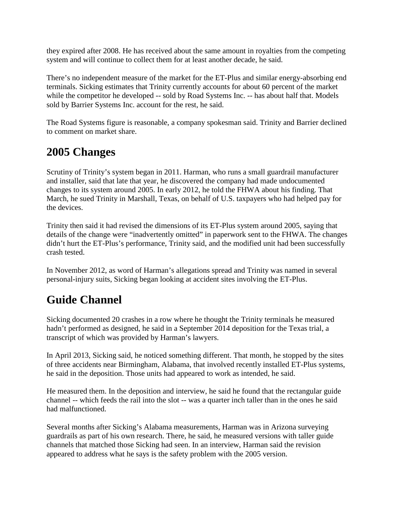they expired after 2008. He has received about the same amount in royalties from the competing system and will continue to collect them for at least another decade, he said.

There's no independent measure of the market for the ET-Plus and similar energy-absorbing end terminals. Sicking estimates that Trinity currently accounts for about 60 percent of the market while the competitor he developed -- sold by Road Systems Inc. -- has about half that. Models sold by Barrier Systems Inc. account for the rest, he said.

The Road Systems figure is reasonable, a company spokesman said. Trinity and Barrier declined to comment on market share.

## **2005 Changes**

Scrutiny of Trinity's system began in 2011. Harman, who runs a small guardrail manufacturer and installer, said that late that year, he discovered the company had made undocumented changes to its system around 2005. In early 2012, he told the FHWA about his finding. That March, he sued Trinity in Marshall, Texas, on behalf of U.S. taxpayers who had helped pay for the devices.

Trinity then said it had revised the dimensions of its ET-Plus system around 2005, saying that details of the change were "inadvertently omitted" in paperwork sent to the FHWA. The changes didn't hurt the ET-Plus's performance, Trinity said, and the modified unit had been successfully crash tested.

In November 2012, as word of Harman's allegations spread and Trinity was named in several personal-injury suits, Sicking began looking at accident sites involving the ET-Plus.

# **Guide Channel**

Sicking documented 20 crashes in a row where he thought the Trinity terminals he measured hadn't performed as designed, he said in a September 2014 deposition for the Texas trial, a transcript of which was provided by Harman's lawyers.

In April 2013, Sicking said, he noticed something different. That month, he stopped by the sites of three accidents near Birmingham, Alabama, that involved recently installed ET-Plus systems, he said in the deposition. Those units had appeared to work as intended, he said.

He measured them. In the deposition and interview, he said he found that the rectangular guide channel -- which feeds the rail into the slot -- was a quarter inch taller than in the ones he said had malfunctioned.

Several months after Sicking's Alabama measurements, Harman was in Arizona surveying guardrails as part of his own research. There, he said, he measured versions with taller guide channels that matched those Sicking had seen. In an interview, Harman said the revision appeared to address what he says is the safety problem with the 2005 version.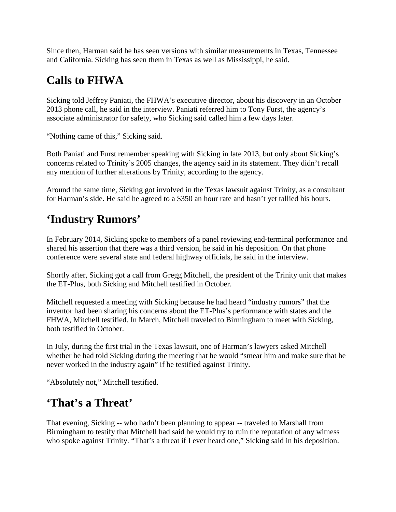Since then, Harman said he has seen versions with similar measurements in Texas, Tennessee and California. Sicking has seen them in Texas as well as Mississippi, he said.

# **Calls to FHWA**

Sicking told Jeffrey Paniati, the FHWA's executive director, about his discovery in an October 2013 phone call, he said in the interview. Paniati referred him to Tony Furst, the agency's associate administrator for safety, who Sicking said called him a few days later.

"Nothing came of this," Sicking said.

Both Paniati and Furst remember speaking with Sicking in late 2013, but only about Sicking's concerns related to Trinity's 2005 changes, the agency said in its statement. They didn't recall any mention of further alterations by Trinity, according to the agency.

Around the same time, Sicking got involved in the Texas lawsuit against Trinity, as a consultant for Harman's side. He said he agreed to a \$350 an hour rate and hasn't yet tallied his hours.

# **'Industry Rumors'**

In February 2014, Sicking spoke to members of a panel reviewing end-terminal performance and shared his assertion that there was a third version, he said in his deposition. On that phone conference were several state and federal highway officials, he said in the interview.

Shortly after, Sicking got a call from Gregg Mitchell, the president of the Trinity unit that makes the ET-Plus, both Sicking and Mitchell testified in October.

Mitchell requested a meeting with Sicking because he had heard "industry rumors" that the inventor had been sharing his concerns about the ET-Plus's performance with states and the FHWA, Mitchell testified. In March, Mitchell traveled to Birmingham to meet with Sicking, both testified in October.

In July, during the first trial in the Texas lawsuit, one of Harman's lawyers asked Mitchell whether he had told Sicking during the meeting that he would "smear him and make sure that he never worked in the industry again" if he testified against Trinity.

"Absolutely not," Mitchell testified.

# **'That's a Threat'**

That evening, Sicking -- who hadn't been planning to appear -- traveled to Marshall from Birmingham to testify that Mitchell had said he would try to ruin the reputation of any witness who spoke against Trinity. "That's a threat if I ever heard one," Sicking said in his deposition.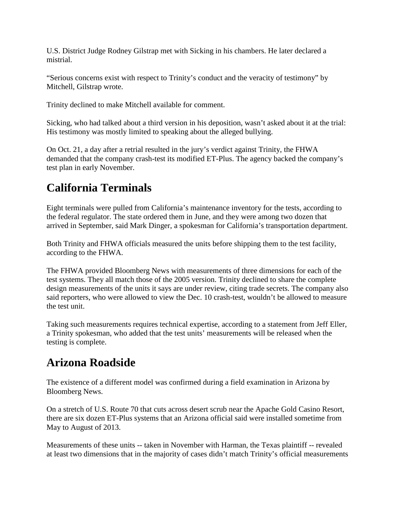U.S. District Judge Rodney Gilstrap met with Sicking in his chambers. He later declared a mistrial.

"Serious concerns exist with respect to Trinity's conduct and the veracity of testimony" by Mitchell, Gilstrap wrote.

Trinity declined to make Mitchell available for comment.

Sicking, who had talked about a third version in his deposition, wasn't asked about it at the trial: His testimony was mostly limited to speaking about the alleged bullying.

On Oct. 21, a day after a retrial resulted in the jury's verdict against Trinity, the FHWA demanded that the company crash-test its modified ET-Plus. The agency backed the company's test plan in early November.

#### **California Terminals**

Eight terminals were pulled from California's maintenance inventory for the tests, according to the federal regulator. The state ordered them in June, and they were among two dozen that arrived in September, said Mark Dinger, a spokesman for California's transportation department.

Both Trinity and FHWA officials measured the units before shipping them to the test facility, according to the FHWA.

The FHWA provided Bloomberg News with measurements of three dimensions for each of the test systems. They all match those of the 2005 version. Trinity declined to share the complete design measurements of the units it says are under review, citing trade secrets. The company also said reporters, who were allowed to view the Dec. 10 crash-test, wouldn't be allowed to measure the test unit.

Taking such measurements requires technical expertise, according to a statement from Jeff Eller, a Trinity spokesman, who added that the test units' measurements will be released when the testing is complete.

#### **Arizona Roadside**

The existence of a different model was confirmed during a field examination in Arizona by Bloomberg News.

On a stretch of U.S. Route 70 that cuts across desert scrub near the Apache Gold Casino Resort, there are six dozen ET-Plus systems that an Arizona official said were installed sometime from May to August of 2013.

Measurements of these units -- taken in November with Harman, the Texas plaintiff -- revealed at least two dimensions that in the majority of cases didn't match Trinity's official measurements